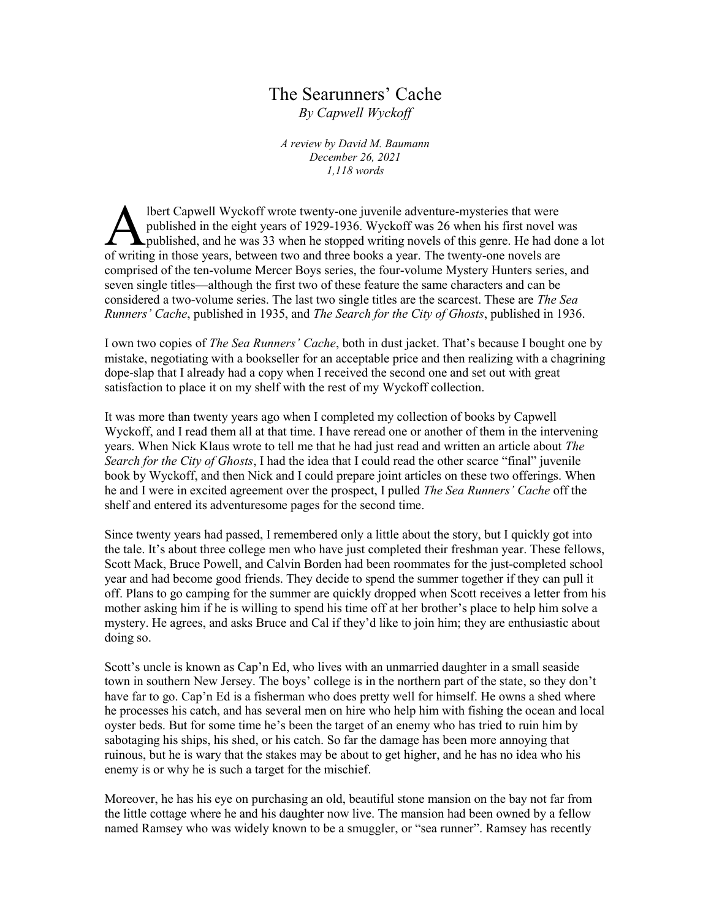## The Searunners' Cache *By Capwell Wyckoff*

*A review by David M. Baumann December 26, 2021 1,118 words*

lbert Capwell Wyckoff wrote twenty-one juvenile adventure-mysteries that were published in the eight years of 1929-1936. Wyckoff was 26 when his first novel was **L** published, and he was 33 when he stopped writing novels of this genre. He had done a lot **Solution** Wyckoff wrote twenty-one juvenile adventure-mysteries that were published in the eight years of 1929-1936. Wyckoff was 26 when his first novel work published, and he was 33 when he stopped writing novels of this comprised of the ten-volume Mercer Boys series, the four-volume Mystery Hunters series, and seven single titles—although the first two of these feature the same characters and can be considered a two-volume series. The last two single titles are the scarcest. These are *The Sea Runners' Cache*, published in 1935, and *The Search for the City of Ghosts*, published in 1936.

I own two copies of *The Sea Runners' Cache*, both in dust jacket. That's because I bought one by mistake, negotiating with a bookseller for an acceptable price and then realizing with a chagrining dope-slap that I already had a copy when I received the second one and set out with great satisfaction to place it on my shelf with the rest of my Wyckoff collection.

It was more than twenty years ago when I completed my collection of books by Capwell Wyckoff, and I read them all at that time. I have reread one or another of them in the intervening years. When Nick Klaus wrote to tell me that he had just read and written an article about *The Search for the City of Ghosts*, I had the idea that I could read the other scarce "final" juvenile book by Wyckoff, and then Nick and I could prepare joint articles on these two offerings. When he and I were in excited agreement over the prospect, I pulled *The Sea Runners' Cache* off the shelf and entered its adventuresome pages for the second time.

Since twenty years had passed, I remembered only a little about the story, but I quickly got into the tale. It's about three college men who have just completed their freshman year. These fellows, Scott Mack, Bruce Powell, and Calvin Borden had been roommates for the just-completed school year and had become good friends. They decide to spend the summer together if they can pull it off. Plans to go camping for the summer are quickly dropped when Scott receives a letter from his mother asking him if he is willing to spend his time off at her brother's place to help him solve a mystery. He agrees, and asks Bruce and Cal if they'd like to join him; they are enthusiastic about doing so.

Scott's uncle is known as Cap'n Ed, who lives with an unmarried daughter in a small seaside town in southern New Jersey. The boys' college is in the northern part of the state, so they don't have far to go. Cap'n Ed is a fisherman who does pretty well for himself. He owns a shed where he processes his catch, and has several men on hire who help him with fishing the ocean and local oyster beds. But for some time he's been the target of an enemy who has tried to ruin him by sabotaging his ships, his shed, or his catch. So far the damage has been more annoying that ruinous, but he is wary that the stakes may be about to get higher, and he has no idea who his enemy is or why he is such a target for the mischief.

Moreover, he has his eye on purchasing an old, beautiful stone mansion on the bay not far from the little cottage where he and his daughter now live. The mansion had been owned by a fellow named Ramsey who was widely known to be a smuggler, or "sea runner". Ramsey has recently